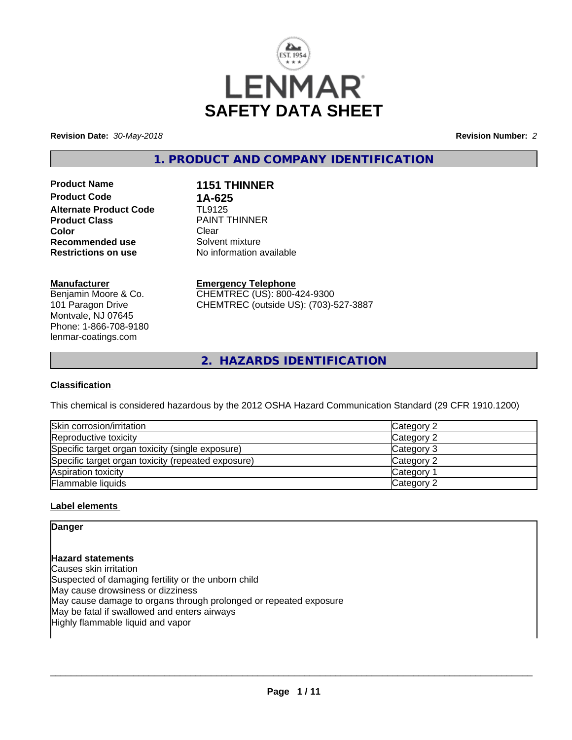

**Revision Date:** *30-May-2018* **Revision Number:** *2*

**1. PRODUCT AND COMPANY IDENTIFICATION**

**Product Name 1151 THINNER Product Code 1A-625**<br>**Alternate Product Code 14** TL9125 **Alternate Product Code Product Class Example 20 PAINT THINNER**<br> **Clear Color** Clear Clear **Recommended use** Solvent mixture<br> **Restrictions on use** No information and No

**No information available** 

## **Manufacturer**

Benjamin Moore & Co. 101 Paragon Drive Montvale, NJ 07645 Phone: 1-866-708-9180 lenmar-coatings.com

**Emergency Telephone** CHEMTREC (US): 800-424-9300

CHEMTREC (outside US): (703)-527-3887

**2. HAZARDS IDENTIFICATION**

## **Classification**

This chemical is considered hazardous by the 2012 OSHA Hazard Communication Standard (29 CFR 1910.1200)

| Skin corrosion/irritation                          | Category 2            |
|----------------------------------------------------|-----------------------|
| Reproductive toxicity                              | Category 2            |
| Specific target organ toxicity (single exposure)   | Category 3            |
| Specific target organ toxicity (repeated exposure) | Category 2            |
| Aspiration toxicity                                | Category <sup>2</sup> |
| <b>Flammable liquids</b>                           | Category 2            |

## **Label elements**

## **Danger**

**Hazard statements** Causes skin irritation Suspected of damaging fertility or the unborn child May cause drowsiness or dizziness May cause damage to organs through prolonged or repeated exposure May be fatal if swallowed and enters airways Highly flammable liquid and vapor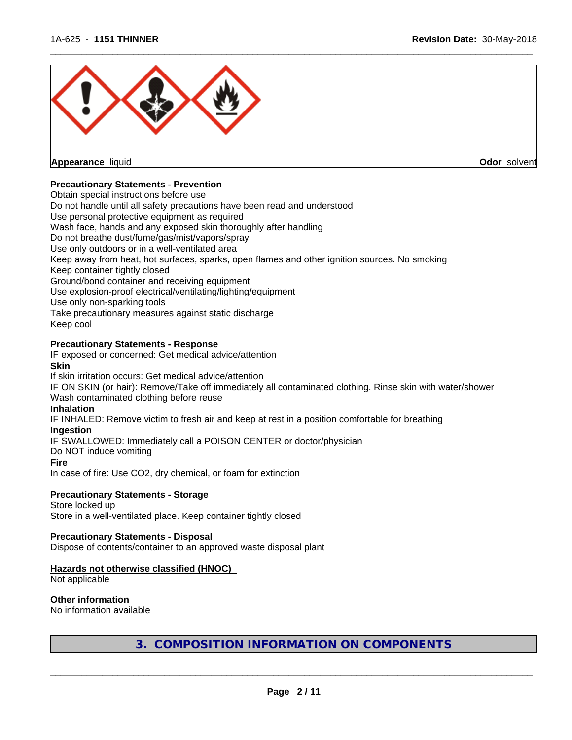

**Odor** solvent

## **Precautionary Statements - Prevention**

Obtain special instructions before use

Do not handle until all safety precautions have been read and understood

Use personal protective equipment as required

Wash face, hands and any exposed skin thoroughly after handling

Do not breathe dust/fume/gas/mist/vapors/spray

Use only outdoors or in a well-ventilated area

- Keep away from heat, hot surfaces, sparks, open flames and other ignition sources. No smoking
- Keep container tightly closed

Ground/bond container and receiving equipment

Use explosion-proof electrical/ventilating/lighting/equipment

Use only non-sparking tools

Take precautionary measures against static discharge

Keep cool

## **Precautionary Statements - Response**

IF exposed or concerned: Get medical advice/attention

#### **Skin**

If skin irritation occurs: Get medical advice/attention

IF ON SKIN (or hair): Remove/Take off immediately all contaminated clothing. Rinse skin with water/shower Wash contaminated clothing before reuse

#### **Inhalation**

IF INHALED: Remove victim to fresh air and keep atrest in a position comfortable for breathing

#### **Ingestion**

IF SWALLOWED: Immediately call a POISON CENTER or doctor/physician

Do NOT induce vomiting

#### **Fire**

In case of fire: Use CO2, dry chemical, or foam for extinction

## **Precautionary Statements - Storage**

Store locked up Store in a well-ventilated place. Keep container tightly closed

#### **Precautionary Statements - Disposal**

Dispose of contents/container to an approved waste disposal plant

## **Hazards not otherwise classified (HNOC)**

Not applicable

## **Other information**

No information available

**3. COMPOSITION INFORMATION ON COMPONENTS**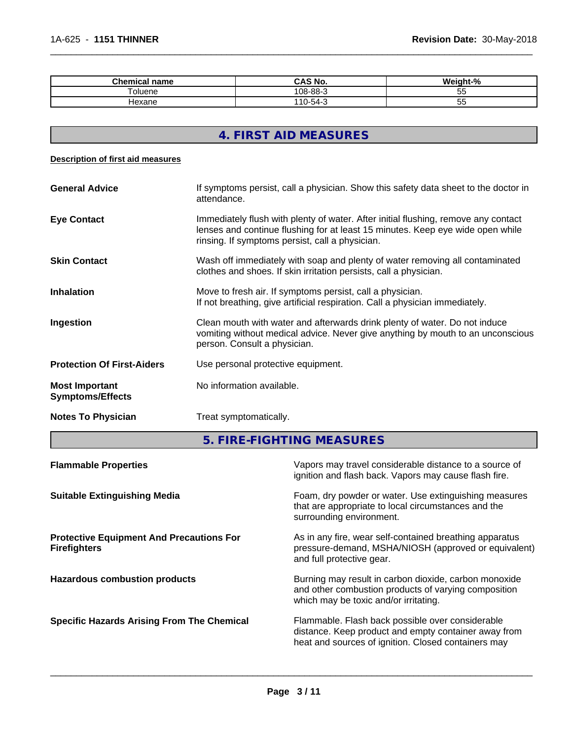| Cham<br>name<br>шсаг                | CAS No.                  | $\mathbf{a}$ |
|-------------------------------------|--------------------------|--------------|
| $\overline{\phantom{0}}$<br>⊺oluene | ററ എ<br>$108 -$<br>ა-იი- | --<br>ັບ     |
| Hexane                              | $-$<br>.<br>1-54-،       | vu           |

# **4. FIRST AID MEASURES**

#### **Description of first aid measures**

| <b>General Advice</b>                            | If symptoms persist, call a physician. Show this safety data sheet to the doctor in<br>attendance.                                                                                                                      |
|--------------------------------------------------|-------------------------------------------------------------------------------------------------------------------------------------------------------------------------------------------------------------------------|
| <b>Eye Contact</b>                               | Immediately flush with plenty of water. After initial flushing, remove any contact<br>lenses and continue flushing for at least 15 minutes. Keep eye wide open while<br>rinsing. If symptoms persist, call a physician. |
| <b>Skin Contact</b>                              | Wash off immediately with soap and plenty of water removing all contaminated<br>clothes and shoes. If skin irritation persists, call a physician.                                                                       |
| <b>Inhalation</b>                                | Move to fresh air. If symptoms persist, call a physician.<br>If not breathing, give artificial respiration. Call a physician immediately.                                                                               |
| Ingestion                                        | Clean mouth with water and afterwards drink plenty of water. Do not induce<br>vomiting without medical advice. Never give anything by mouth to an unconscious<br>person. Consult a physician.                           |
| <b>Protection Of First-Aiders</b>                | Use personal protective equipment.                                                                                                                                                                                      |
| <b>Most Important</b><br><b>Symptoms/Effects</b> | No information available.                                                                                                                                                                                               |
| <b>Notes To Physician</b>                        | Treat symptomatically.                                                                                                                                                                                                  |

**5. FIRE-FIGHTING MEASURES**

| <b>Flammable Properties</b>                                            | Vapors may travel considerable distance to a source of<br>ignition and flash back. Vapors may cause flash fire.                                                 |
|------------------------------------------------------------------------|-----------------------------------------------------------------------------------------------------------------------------------------------------------------|
| <b>Suitable Extinguishing Media</b>                                    | Foam, dry powder or water. Use extinguishing measures<br>that are appropriate to local circumstances and the<br>surrounding environment.                        |
| <b>Protective Equipment And Precautions For</b><br><b>Firefighters</b> | As in any fire, wear self-contained breathing apparatus<br>pressure-demand, MSHA/NIOSH (approved or equivalent)<br>and full protective gear.                    |
| <b>Hazardous combustion products</b>                                   | Burning may result in carbon dioxide, carbon monoxide<br>and other combustion products of varying composition<br>which may be toxic and/or irritating.          |
| <b>Specific Hazards Arising From The Chemical</b>                      | Flammable. Flash back possible over considerable<br>distance. Keep product and empty container away from<br>heat and sources of ignition. Closed containers may |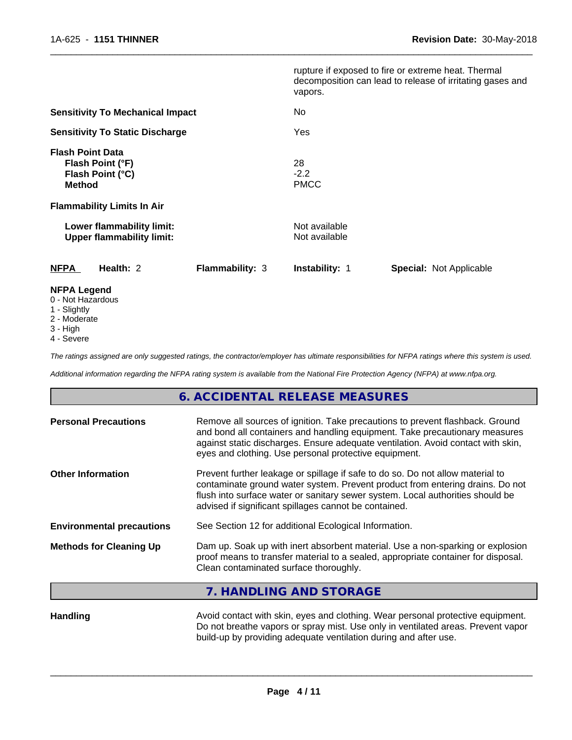|                                                                                   |                        | vapors.                        | rupture if exposed to fire or extreme heat. Thermal<br>decomposition can lead to release of irritating gases and |  |
|-----------------------------------------------------------------------------------|------------------------|--------------------------------|------------------------------------------------------------------------------------------------------------------|--|
| <b>Sensitivity To Mechanical Impact</b><br><b>Sensitivity To Static Discharge</b> |                        | No<br>Yes                      |                                                                                                                  |  |
|                                                                                   |                        |                                |                                                                                                                  |  |
| <b>Flammability Limits In Air</b>                                                 |                        |                                |                                                                                                                  |  |
| Lower flammability limit:<br><b>Upper flammability limit:</b>                     |                        | Not available<br>Not available |                                                                                                                  |  |
| <b>NFPA</b><br>Health: 2                                                          | <b>Flammability: 3</b> | <b>Instability: 1</b>          | <b>Special: Not Applicable</b>                                                                                   |  |
| <b>NFPA Legend</b><br>0 - Not Hazardous                                           |                        |                                |                                                                                                                  |  |

- 1 Slightly
- 2 Moderate
- 3 High
- 4 Severe

*The ratings assigned are only suggested ratings, the contractor/employer has ultimate responsibilities for NFPA ratings where this system is used.*

*Additional information regarding the NFPA rating system is available from the National Fire Protection Agency (NFPA) at www.nfpa.org.*

# **6. ACCIDENTAL RELEASE MEASURES**

| <b>Personal Precautions</b>      | Remove all sources of ignition. Take precautions to prevent flashback. Ground<br>and bond all containers and handling equipment. Take precautionary measures<br>against static discharges. Ensure adequate ventilation. Avoid contact with skin,<br>eyes and clothing. Use personal protective equipment.  |  |
|----------------------------------|------------------------------------------------------------------------------------------------------------------------------------------------------------------------------------------------------------------------------------------------------------------------------------------------------------|--|
| <b>Other Information</b>         | Prevent further leakage or spillage if safe to do so. Do not allow material to<br>contaminate ground water system. Prevent product from entering drains. Do not<br>flush into surface water or sanitary sewer system. Local authorities should be<br>advised if significant spillages cannot be contained. |  |
| <b>Environmental precautions</b> | See Section 12 for additional Ecological Information.                                                                                                                                                                                                                                                      |  |
| <b>Methods for Cleaning Up</b>   | Dam up. Soak up with inert absorbent material. Use a non-sparking or explosion<br>proof means to transfer material to a sealed, appropriate container for disposal.<br>Clean contaminated surface thoroughly.                                                                                              |  |
|                                  |                                                                                                                                                                                                                                                                                                            |  |

## **7. HANDLING AND STORAGE**

| Handling | Avoid contact with skin, eyes and clothing. Wear personal protective equipment.  |
|----------|----------------------------------------------------------------------------------|
|          | Do not breathe vapors or spray mist. Use only in ventilated areas. Prevent vapor |
|          | build-up by providing adequate ventilation during and after use.                 |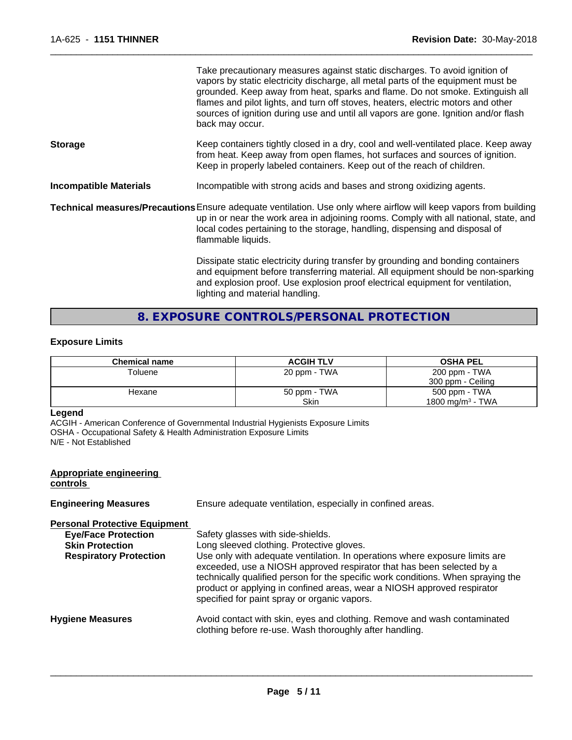|                               | Take precautionary measures against static discharges. To avoid ignition of<br>vapors by static electricity discharge, all metal parts of the equipment must be<br>grounded. Keep away from heat, sparks and flame. Do not smoke. Extinguish all<br>flames and pilot lights, and turn off stoves, heaters, electric motors and other<br>sources of ignition during use and until all vapors are gone. Ignition and/or flash<br>back may occur. |
|-------------------------------|------------------------------------------------------------------------------------------------------------------------------------------------------------------------------------------------------------------------------------------------------------------------------------------------------------------------------------------------------------------------------------------------------------------------------------------------|
| <b>Storage</b>                | Keep containers tightly closed in a dry, cool and well-ventilated place. Keep away<br>from heat. Keep away from open flames, hot surfaces and sources of ignition.<br>Keep in properly labeled containers. Keep out of the reach of children.                                                                                                                                                                                                  |
| <b>Incompatible Materials</b> | Incompatible with strong acids and bases and strong oxidizing agents.                                                                                                                                                                                                                                                                                                                                                                          |
|                               | Technical measures/Precautions Ensure adequate ventilation. Use only where airflow will keep vapors from building<br>up in or near the work area in adjoining rooms. Comply with all national, state, and<br>local codes pertaining to the storage, handling, dispensing and disposal of<br>flammable liquids.                                                                                                                                 |
|                               | Dissipate static electricity during transfer by grounding and bonding containers<br>and equipment before transferring material. All equipment should be non-sparking<br>and explosion proof. Use explosion proof electrical equipment for ventilation,<br>lighting and material handling.                                                                                                                                                      |

# **8. EXPOSURE CONTROLS/PERSONAL PROTECTION**

## **Exposure Limits**

| <b>Chemical name</b> | <b>ACGIH TLV</b> | <b>OSHA PEL</b>              |
|----------------------|------------------|------------------------------|
| Toluene              | 20 ppm - TWA     | 200 ppm - TWA                |
|                      |                  | 300 ppm - Ceiling            |
| Hexane               | 50 ppm - TWA     | 500 ppm - TWA                |
|                      | Skin             | 1800 mg/m <sup>3</sup> - TWA |

#### **Legend**

ACGIH - American Conference of Governmental Industrial Hygienists Exposure Limits OSHA - Occupational Safety & Health Administration Exposure Limits N/E - Not Established

## **Appropriate engineering controls**

| <b>Engineering Measures</b>                                                                                                   | Ensure adequate ventilation, especially in confined areas.                                                                                                                                                                                                                                                                                                                                                                                            |
|-------------------------------------------------------------------------------------------------------------------------------|-------------------------------------------------------------------------------------------------------------------------------------------------------------------------------------------------------------------------------------------------------------------------------------------------------------------------------------------------------------------------------------------------------------------------------------------------------|
| <b>Personal Protective Equipment</b><br><b>Eye/Face Protection</b><br><b>Skin Protection</b><br><b>Respiratory Protection</b> | Safety glasses with side-shields.<br>Long sleeved clothing. Protective gloves.<br>Use only with adequate ventilation. In operations where exposure limits are<br>exceeded, use a NIOSH approved respirator that has been selected by a<br>technically qualified person for the specific work conditions. When spraying the<br>product or applying in confined areas, wear a NIOSH approved respirator<br>specified for paint spray or organic vapors. |
| <b>Hygiene Measures</b>                                                                                                       | Avoid contact with skin, eyes and clothing. Remove and wash contaminated<br>clothing before re-use. Wash thoroughly after handling.                                                                                                                                                                                                                                                                                                                   |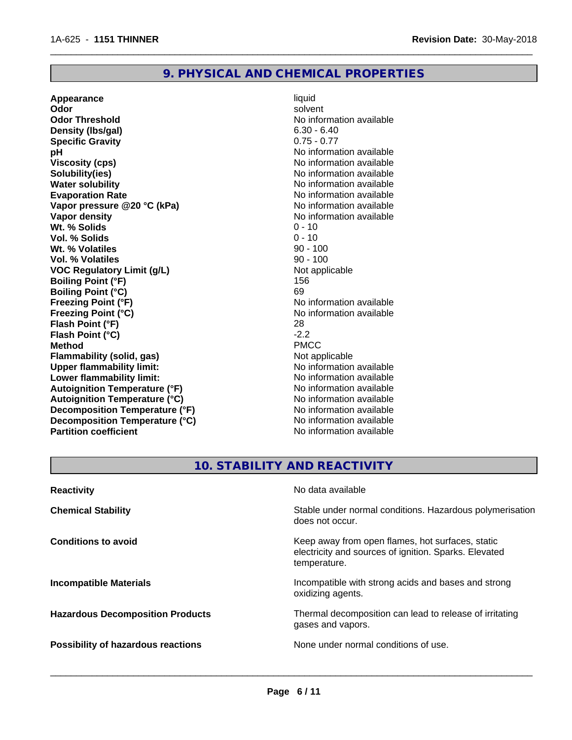## **9. PHYSICAL AND CHEMICAL PROPERTIES**

**Appearance** liquid **Odor** solvent **Odor Threshold No information available No information available Density (lbs/gal)** 6.30 - 6.40 **Specific Gravity** 0.75 - 0.77 **pH** No information available **Viscosity (cps)** No information available Notice 1, 1999 **Solubility(ies)** No information available **Water solubility Water solubility Water solubility Water solubility Water solubility Water solution Evaporation Rate Conservation Rate** No information available<br> **Vapor pressure @20 °C (kPa)** No information available **Vapor** pressure @20 °C (kPa) **Vapor density Vapor density No information available Wt. % Solids** 0 - 10<br> **Vol. % Solids** 0 - 10 **Vol. % Solids Wt. % Volatiles** 90 - 100 **Vol. % Volatiles** 90 - 100 **VOC** Requiatory Limit (q/L) Not applicable **Boiling Point (°F)** 156 **Boiling Point (°C)** 69 **Freezing Point (°F)** No information available **Freezing Point (°C)** No information available **Flash Point (°F)** 28 **Flash Point (°C)** -2.2 **Method** PMCC **Flammability (solid, gas)**<br> **Commability limit:**<br>
Under flammability limit:<br>
Under flammability limit: **Upper flammability limit: Lower flammability limit:**  $\qquad \qquad \qquad \text{No information available}$ **Autoignition Temperature (°F)** No information available **Autoignition Temperature (°C)** No information available **Decomposition Temperature (°F)** No information available **Decomposition Temperature (°C)** No information available<br> **Partition coefficient Partition available** 

**No information available** 

 $\overline{\phantom{a}}$  ,  $\overline{\phantom{a}}$  ,  $\overline{\phantom{a}}$  ,  $\overline{\phantom{a}}$  ,  $\overline{\phantom{a}}$  ,  $\overline{\phantom{a}}$  ,  $\overline{\phantom{a}}$  ,  $\overline{\phantom{a}}$  ,  $\overline{\phantom{a}}$  ,  $\overline{\phantom{a}}$  ,  $\overline{\phantom{a}}$  ,  $\overline{\phantom{a}}$  ,  $\overline{\phantom{a}}$  ,  $\overline{\phantom{a}}$  ,  $\overline{\phantom{a}}$  ,  $\overline{\phantom{a}}$ 

## **10. STABILITY AND REACTIVITY**

| <b>Reactivity</b>                         | No data available                                                                                                         |
|-------------------------------------------|---------------------------------------------------------------------------------------------------------------------------|
| <b>Chemical Stability</b>                 | Stable under normal conditions. Hazardous polymerisation<br>does not occur.                                               |
| <b>Conditions to avoid</b>                | Keep away from open flames, hot surfaces, static<br>electricity and sources of ignition. Sparks. Elevated<br>temperature. |
| <b>Incompatible Materials</b>             | Incompatible with strong acids and bases and strong<br>oxidizing agents.                                                  |
| <b>Hazardous Decomposition Products</b>   | Thermal decomposition can lead to release of irritating<br>gases and vapors.                                              |
| <b>Possibility of hazardous reactions</b> | None under normal conditions of use.                                                                                      |
|                                           |                                                                                                                           |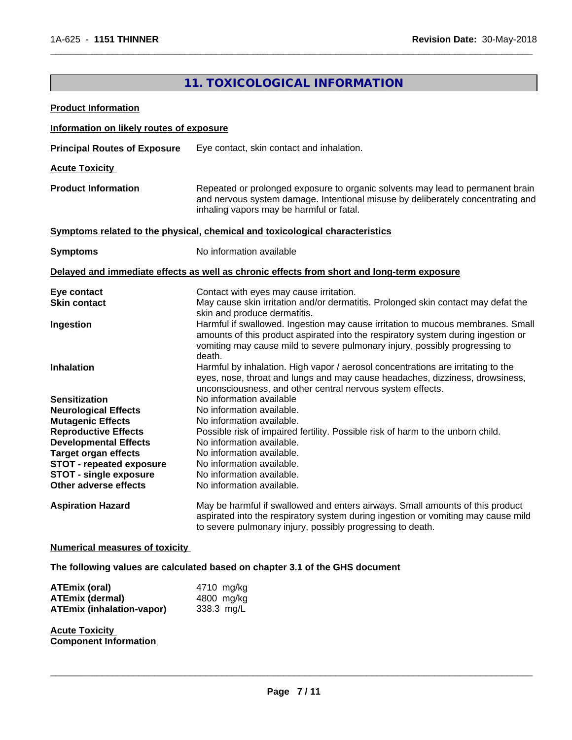# **11. TOXICOLOGICAL INFORMATION Product Information Information on likely routes of exposure Principal Routes of Exposure** Eye contact, skin contact and inhalation. **Acute Toxicity Product Information** Repeated or prolonged exposure to organic solvents may lead to permanent brain and nervous system damage. Intentional misuse by deliberately concentrating and inhaling vapors may be harmful or fatal. **Symptoms** related to the physical, chemical and toxicological characteristics **Symptoms** No information available **Delayed and immediate effects as well as chronic effects from short and long-term exposure Eye contact Exercise Contact** Contact with eyes may cause irritation.<br> **Skin contact Contact** May cause skin irritation and/or dermat **Skin contact** May cause skin irritation and/or dermatitis. Prolonged skin contact may defat the skin and produce dermatitis. **Ingestion Harmful if swallowed. Ingestion may cause irritation to mucous membranes. Small** amounts of this product aspirated into the respiratory system during ingestion or vomiting may cause mild to severe pulmonary injury, possibly progressing to death. **Inhalation Harmful by inhalation. High vapor / aerosol concentrations are irritating to the** eyes, nose, throat and lungs and may cause headaches, dizziness, drowsiness, unconsciousness, and other central nervous system effects. **Sensitization** No information available **Neurological Effects** No information available. **Mutagenic Effects** No information available. **Reproductive Effects** Possible risk of impaired fertility. Possible risk of harm to the unborn child. **Developmental Effects** No information available. **Target organ effects** No information available. **STOT** - **repeated exposure** No information available. **STOT - single exposure** No information available.<br> **Other adverse effects** No information available. No information available. **Aspiration Hazard** May be harmful if swallowed and enters airways. Small amounts of this product aspirated into the respiratory system during ingestion or vomiting may cause mild to severe pulmonary injury, possibly progressing to death. **Numerical measures of toxicity**

 $\overline{\phantom{a}}$  ,  $\overline{\phantom{a}}$  ,  $\overline{\phantom{a}}$  ,  $\overline{\phantom{a}}$  ,  $\overline{\phantom{a}}$  ,  $\overline{\phantom{a}}$  ,  $\overline{\phantom{a}}$  ,  $\overline{\phantom{a}}$  ,  $\overline{\phantom{a}}$  ,  $\overline{\phantom{a}}$  ,  $\overline{\phantom{a}}$  ,  $\overline{\phantom{a}}$  ,  $\overline{\phantom{a}}$  ,  $\overline{\phantom{a}}$  ,  $\overline{\phantom{a}}$  ,  $\overline{\phantom{a}}$ 

**The following values are calculated based on chapter 3.1 of the GHS document**

| ATEmix (oral)                    | 4710 mg/kg |  |
|----------------------------------|------------|--|
| <b>ATEmix (dermal)</b>           | 4800 mg/kg |  |
| <b>ATEmix (inhalation-vapor)</b> | 338.3 mg/L |  |

**Acute Toxicity Component Information**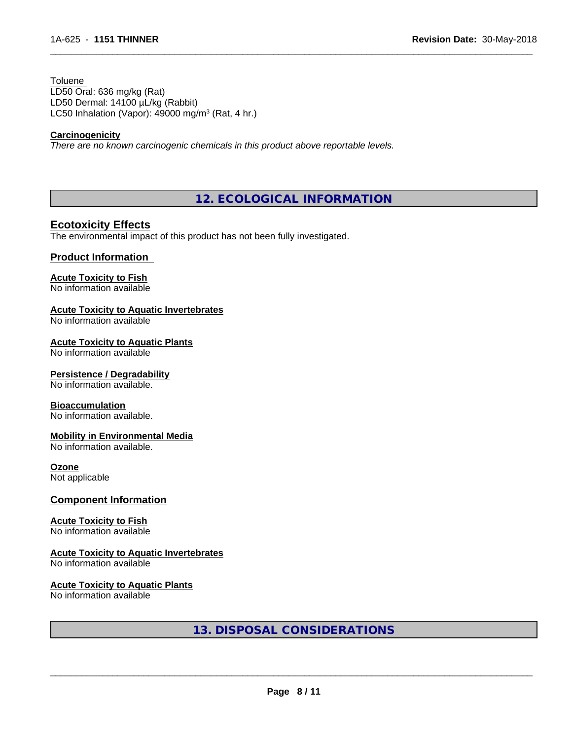Toluene LD50 Oral: 636 mg/kg (Rat) LD50 Dermal: 14100 µL/kg (Rabbit) LC50 Inhalation (Vapor): 49000 mg/m<sup>3</sup> (Rat, 4 hr.)

#### **Carcinogenicity**

*There are no known carcinogenic chemicals in this product above reportable levels.*

**12. ECOLOGICAL INFORMATION**

 $\overline{\phantom{a}}$  ,  $\overline{\phantom{a}}$  ,  $\overline{\phantom{a}}$  ,  $\overline{\phantom{a}}$  ,  $\overline{\phantom{a}}$  ,  $\overline{\phantom{a}}$  ,  $\overline{\phantom{a}}$  ,  $\overline{\phantom{a}}$  ,  $\overline{\phantom{a}}$  ,  $\overline{\phantom{a}}$  ,  $\overline{\phantom{a}}$  ,  $\overline{\phantom{a}}$  ,  $\overline{\phantom{a}}$  ,  $\overline{\phantom{a}}$  ,  $\overline{\phantom{a}}$  ,  $\overline{\phantom{a}}$ 

## **Ecotoxicity Effects**

The environmental impact of this product has not been fully investigated.

## **Product Information**

## **Acute Toxicity to Fish**

No information available

## **Acute Toxicity to Aquatic Invertebrates**

No information available

#### **Acute Toxicity to Aquatic Plants**

No information available

#### **Persistence / Degradability**

No information available.

#### **Bioaccumulation**

No information available.

#### **Mobility in Environmental Media**

No information available.

#### **Ozone**

Not applicable

#### **Component Information**

#### **Acute Toxicity to Fish**

No information available

#### **Acute Toxicity to Aquatic Invertebrates**

No information available

## **Acute Toxicity to Aquatic Plants**

No information available

**13. DISPOSAL CONSIDERATIONS**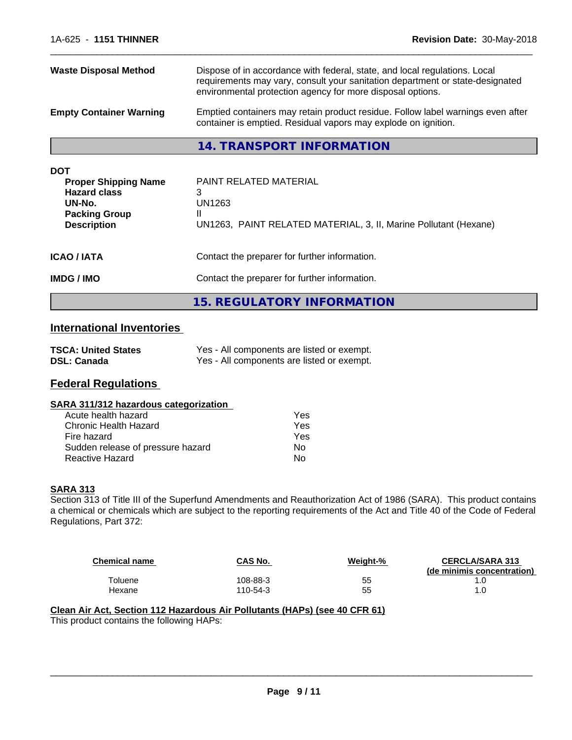| <b>Waste Disposal Method</b>                                                                                             | Dispose of in accordance with federal, state, and local regulations. Local<br>requirements may vary, consult your sanitation department or state-designated<br>environmental protection agency for more disposal options. |  |  |
|--------------------------------------------------------------------------------------------------------------------------|---------------------------------------------------------------------------------------------------------------------------------------------------------------------------------------------------------------------------|--|--|
| <b>Empty Container Warning</b>                                                                                           | Emptied containers may retain product residue. Follow label warnings even after<br>container is emptied. Residual vapors may explode on ignition.                                                                         |  |  |
|                                                                                                                          | 14. TRANSPORT INFORMATION                                                                                                                                                                                                 |  |  |
| <b>DOT</b><br><b>Proper Shipping Name</b><br><b>Hazard class</b><br>UN-No.<br><b>Packing Group</b><br><b>Description</b> | <b>PAINT RELATED MATERIAL</b><br>3<br>UN1263<br>UN1263, PAINT RELATED MATERIAL, 3, II, Marine Pollutant (Hexane)                                                                                                          |  |  |
| <b>ICAO / IATA</b>                                                                                                       | Contact the preparer for further information.                                                                                                                                                                             |  |  |

**IMDG / IMO** Contact the preparer for further information.

**15. REGULATORY INFORMATION**

# **International Inventories**

| <b>TSCA: United States</b> | Yes - All components are listed or exempt. |
|----------------------------|--------------------------------------------|
| <b>DSL: Canada</b>         | Yes - All components are listed or exempt. |

## **Federal Regulations**

#### **SARA 311/312 hazardous categorization**

| Acute health hazard               | Yes |
|-----------------------------------|-----|
| Chronic Health Hazard             | Yes |
| Fire hazard                       | Yes |
| Sudden release of pressure hazard | Nο  |
| Reactive Hazard                   | N٥  |

## **SARA 313**

Section 313 of Title III of the Superfund Amendments and Reauthorization Act of 1986 (SARA). This product contains a chemical or chemicals which are subject to the reporting requirements of the Act and Title 40 of the Code of Federal Regulations, Part 372:

| <b>Chemical name</b> | CAS No.  | Weight-% | <b>CERCLA/SARA 313</b><br>(de minimis concentration) |
|----------------------|----------|----------|------------------------------------------------------|
| Toluene              | 108-88-3 | 55       |                                                      |
| Hexane               | 110-54-3 | 55       |                                                      |

 $\overline{\phantom{a}}$  ,  $\overline{\phantom{a}}$  ,  $\overline{\phantom{a}}$  ,  $\overline{\phantom{a}}$  ,  $\overline{\phantom{a}}$  ,  $\overline{\phantom{a}}$  ,  $\overline{\phantom{a}}$  ,  $\overline{\phantom{a}}$  ,  $\overline{\phantom{a}}$  ,  $\overline{\phantom{a}}$  ,  $\overline{\phantom{a}}$  ,  $\overline{\phantom{a}}$  ,  $\overline{\phantom{a}}$  ,  $\overline{\phantom{a}}$  ,  $\overline{\phantom{a}}$  ,  $\overline{\phantom{a}}$ 

#### **Clean Air Act,Section 112 Hazardous Air Pollutants (HAPs) (see 40 CFR 61)** This product contains the following HAPs: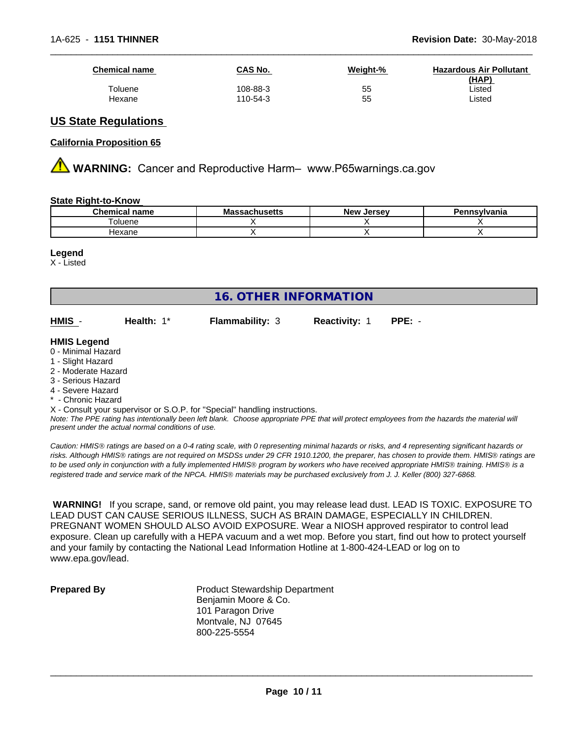| <b>Chemical name</b> | CAS No.  | Weight-% | <b>Hazardous Air Pollutant</b><br>(HAP) |
|----------------------|----------|----------|-----------------------------------------|
| Toluene              | 108-88-3 | 55       | ∟isted                                  |
| Hexane               | 110-54-3 | 55       | ∟isted                                  |

## **US State Regulations**

#### **California Proposition 65**

**AVIMARNING:** Cancer and Reproductive Harm– www.P65warnings.ca.gov

#### **State Right-to-Know**

| $\sim$<br>$ -$<br>nо<br>юше | ш<br>135113 | .<br>Ne۱<br><br>$\sim$ |  |
|-----------------------------|-------------|------------------------|--|
| l oluene                    |             |                        |  |
| <del>l</del> exane          |             |                        |  |

#### **Legend**

X - Listed

# **16. OTHER INFORMATION**

**HMIS** - **Health:** 1\* **Flammability:** 3 **Reactivity:** 1 **PPE:** -

#### **HMIS Legend**

- 0 Minimal Hazard
- 1 Slight Hazard
- 2 Moderate Hazard
- 3 Serious Hazard
- 4 Severe Hazard
- Chronic Hazard
- X Consult your supervisor or S.O.P. for "Special" handling instructions.

*Note: The PPE rating has intentionally been left blank. Choose appropriate PPE that will protect employees from the hazards the material will present under the actual normal conditions of use.*

*Caution: HMISÒ ratings are based on a 0-4 rating scale, with 0 representing minimal hazards or risks, and 4 representing significant hazards or risks. Although HMISÒ ratings are not required on MSDSs under 29 CFR 1910.1200, the preparer, has chosen to provide them. HMISÒ ratings are to be used only in conjunction with a fully implemented HMISÒ program by workers who have received appropriate HMISÒ training. HMISÒ is a registered trade and service mark of the NPCA. HMISÒ materials may be purchased exclusively from J. J. Keller (800) 327-6868.*

 **WARNING!** If you scrape, sand, or remove old paint, you may release lead dust. LEAD IS TOXIC. EXPOSURE TO LEAD DUST CAN CAUSE SERIOUS ILLNESS, SUCH AS BRAIN DAMAGE, ESPECIALLY IN CHILDREN. PREGNANT WOMEN SHOULD ALSO AVOID EXPOSURE.Wear a NIOSH approved respirator to control lead exposure. Clean up carefully with a HEPA vacuum and a wet mop. Before you start, find out how to protect yourself and your family by contacting the National Lead Information Hotline at 1-800-424-LEAD or log on to www.epa.gov/lead.

**Prepared By** Product Stewardship Department Benjamin Moore & Co. 101 Paragon Drive Montvale, NJ 07645 800-225-5554